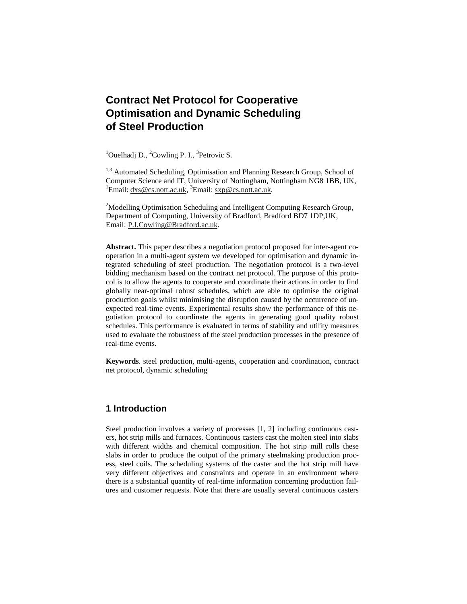# **Contract Net Protocol for Cooperative Optimisation and Dynamic Scheduling of Steel Production**

<sup>1</sup>Ouelhadj D.,  ${}^{2}$ Cowling P. I.,  ${}^{3}$ Petrovic S.

<sup>1,3</sup> Automated Scheduling, Optimisation and Planning Research Group, School of Computer Science and IT, University of Nottingham, Nottingham NG8 1BB, UK, <sup>1</sup>Email: dxs@cs.nott.ac.uk, <sup>3</sup>Email: sxp@cs.nott.ac.uk.

<sup>2</sup>Modelling Optimisation Scheduling and Intelligent Computing Research Group, Department of Computing, University of Bradford, Bradford BD7 1DP,UK, Email: P.I.Cowling@Bradford.ac.uk.

**Abstract.** This paper describes a negotiation protocol proposed for inter-agent cooperation in a multi-agent system we developed for optimisation and dynamic integrated scheduling of steel production. The negotiation protocol is a two-level bidding mechanism based on the contract net protocol. The purpose of this protocol is to allow the agents to cooperate and coordinate their actions in order to find globally near-optimal robust schedules, which are able to optimise the original production goals whilst minimising the disruption caused by the occurrence of unexpected real-time events. Experimental results show the performance of this negotiation protocol to coordinate the agents in generating good quality robust schedules. This performance is evaluated in terms of stability and utility measures used to evaluate the robustness of the steel production processes in the presence of real-time events.

**Keywords**. steel production, multi-agents, cooperation and coordination, contract net protocol, dynamic scheduling

### **1 Introduction**

Steel production involves a variety of processes [1, 2] including continuous casters, hot strip mills and furnaces. Continuous casters cast the molten steel into slabs with different widths and chemical composition. The hot strip mill rolls these slabs in order to produce the output of the primary steelmaking production process, steel coils. The scheduling systems of the caster and the hot strip mill have very different objectives and constraints and operate in an environment where there is a substantial quantity of real-time information concerning production failures and customer requests. Note that there are usually several continuous casters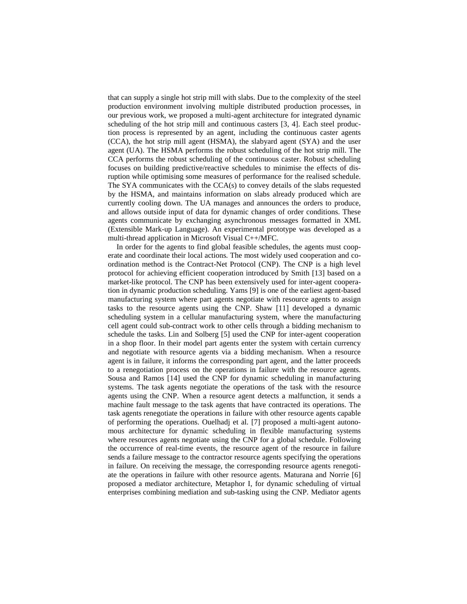that can supply a single hot strip mill with slabs. Due to the complexity of the steel production environment involving multiple distributed production processes, in our previous work, we proposed a multi-agent architecture for integrated dynamic scheduling of the hot strip mill and continuous casters [3, 4]. Each steel production process is represented by an agent, including the continuous caster agents (CCA), the hot strip mill agent (HSMA), the slabyard agent (SYA) and the user agent (UA). The HSMA performs the robust scheduling of the hot strip mill. The CCA performs the robust scheduling of the continuous caster. Robust scheduling focuses on building predictive/reactive schedules to minimise the effects of disruption while optimising some measures of performance for the realised schedule. The SYA communicates with the CCA(s) to convey details of the slabs requested by the HSMA, and maintains information on slabs already produced which are currently cooling down. The UA manages and announces the orders to produce, and allows outside input of data for dynamic changes of order conditions. These agents communicate by exchanging asynchronous messages formatted in XML (Extensible Mark-up Language). An experimental prototype was developed as a multi-thread application in Microsoft Visual C++/MFC.

In order for the agents to find global feasible schedules, the agents must cooperate and coordinate their local actions*.* The most widely used cooperation and coordination method is the Contract-Net Protocol (CNP). The CNP is a high level protocol for achieving efficient cooperation introduced by Smith [13] based on a market-like protocol. The CNP has been extensively used for inter-agent cooperation in dynamic production scheduling. Yams [9] is one of the earliest agent-based manufacturing system where part agents negotiate with resource agents to assign tasks to the resource agents using the CNP. Shaw [11] developed a dynamic scheduling system in a cellular manufacturing system, where the manufacturing cell agent could sub-contract work to other cells through a bidding mechanism to schedule the tasks. Lin and Solberg [5] used the CNP for inter-agent cooperation in a shop floor. In their model part agents enter the system with certain currency and negotiate with resource agents via a bidding mechanism. When a resource agent is in failure, it informs the corresponding part agent, and the latter proceeds to a renegotiation process on the operations in failure with the resource agents. Sousa and Ramos [14] used the CNP for dynamic scheduling in manufacturing systems. The task agents negotiate the operations of the task with the resource agents using the CNP. When a resource agent detects a malfunction, it sends a machine fault message to the task agents that have contracted its operations. The task agents renegotiate the operations in failure with other resource agents capable of performing the operations. Ouelhadj et al. [7] proposed a multi-agent autonomous architecture for dynamic scheduling in flexible manufacturing systems where resources agents negotiate using the CNP for a global schedule. Following the occurrence of real-time events, the resource agent of the resource in failure sends a failure message to the contractor resource agents specifying the operations in failure. On receiving the message, the corresponding resource agents renegotiate the operations in failure with other resource agents. Maturana and Norrie [6] proposed a mediator architecture, Metaphor I, for dynamic scheduling of virtual enterprises combining mediation and sub-tasking using the CNP. Mediator agents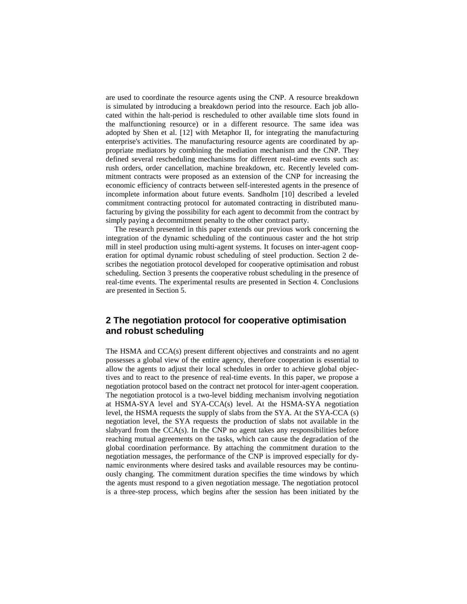are used to coordinate the resource agents using the CNP. A resource breakdown is simulated by introducing a breakdown period into the resource. Each job allocated within the halt-period is rescheduled to other available time slots found in the malfunctioning resource) or in a different resource. The same idea was adopted by Shen et al. [12] with Metaphor II, for integrating the manufacturing enterprise's activities. The manufacturing resource agents are coordinated by appropriate mediators by combining the mediation mechanism and the CNP. They defined several rescheduling mechanisms for different real-time events such as: rush orders, order cancellation, machine breakdown, etc. Recently leveled commitment contracts were proposed as an extension of the CNP for increasing the economic efficiency of contracts between self-interested agents in the presence of incomplete information about future events. Sandholm [10] described a leveled commitment contracting protocol for automated contracting in distributed manufacturing by giving the possibility for each agent to decommit from the contract by simply paying a decommitment penalty to the other contract party.

The research presented in this paper extends our previous work concerning the integration of the dynamic scheduling of the continuous caster and the hot strip mill in steel production using multi-agent systems. It focuses on inter-agent cooperation for optimal dynamic robust scheduling of steel production. Section 2 describes the negotiation protocol developed for cooperative optimisation and robust scheduling. Section 3 presents the cooperative robust scheduling in the presence of real-time events. The experimental results are presented in Section 4. Conclusions are presented in Section 5.

## **2 The negotiation protocol for cooperative optimisation and robust scheduling**

The HSMA and CCA(s) present different objectives and constraints and no agent possesses a global view of the entire agency, therefore cooperation is essential to allow the agents to adjust their local schedules in order to achieve global objectives and to react to the presence of real-time events. In this paper, we propose a negotiation protocol based on the contract net protocol for inter-agent cooperation. The negotiation protocol is a two-level bidding mechanism involving negotiation at HSMA-SYA level and SYA-CCA(s) level. At the HSMA-SYA negotiation level, the HSMA requests the supply of slabs from the SYA. At the SYA-CCA (s) negotiation level, the SYA requests the production of slabs not available in the slabyard from the CCA(s). In the CNP no agent takes any responsibilities before reaching mutual agreements on the tasks, which can cause the degradation of the global coordination performance. By attaching the commitment duration to the negotiation messages, the performance of the CNP is improved especially for dynamic environments where desired tasks and available resources may be continuously changing. The commitment duration specifies the time windows by which the agents must respond to a given negotiation message. The negotiation protocol is a three-step process, which begins after the session has been initiated by the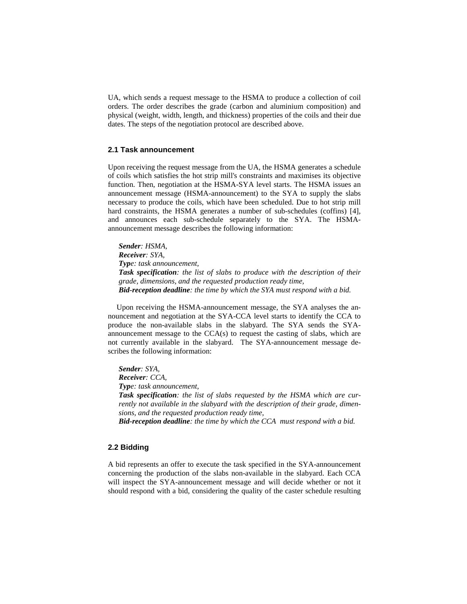UA, which sends a request message to the HSMA to produce a collection of coil orders. The order describes the grade (carbon and aluminium composition) and physical (weight, width, length, and thickness) properties of the coils and their due dates. The steps of the negotiation protocol are described above.

#### **2.1 Task announcement**

Upon receiving the request message from the UA, the HSMA generates a schedule of coils which satisfies the hot strip mill's constraints and maximises its objective function. Then, negotiation at the HSMA-SYA level starts. The HSMA issues an announcement message (HSMA-announcement) to the SYA to supply the slabs necessary to produce the coils, which have been scheduled. Due to hot strip mill hard constraints, the HSMA generates a number of sub-schedules (coffins) [4], and announces each sub-schedule separately to the SYA. The HSMAannouncement message describes the following information:

*Sender: HSMA, Receiver: SYA, Type: task announcement, Task specification: the list of slabs to produce with the description of their grade, dimensions, and the requested production ready time, Bid-reception deadline: the time by which the SYA must respond with a bid.*

Upon receiving the HSMA-announcement message, the SYA analyses the announcement and negotiation at the SYA-CCA level starts to identify the CCA to produce the non-available slabs in the slabyard. The SYA sends the SYAannouncement message to the CCA(s) to request the casting of slabs, which are not currently available in the slabyard. The SYA-announcement message describes the following information:

*Sender: SYA, Receiver: CCA, Type: task announcement, Task specification: the list of slabs requested by the HSMA which are currently not available in the slabyard with the description of their grade, dimensions, and the requested production ready time,*

*Bid-reception deadline: the time by which the CCA must respond with a bid.*

#### **2.2 Bidding**

A bid represents an offer to execute the task specified in the SYA-announcement concerning the production of the slabs non-available in the slabyard. Each CCA will inspect the SYA-announcement message and will decide whether or not it should respond with a bid, considering the quality of the caster schedule resulting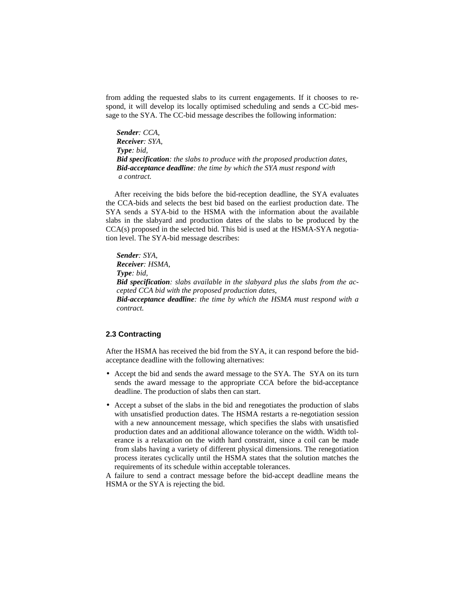from adding the requested slabs to its current engagements. If it chooses to respond, it will develop its locally optimised scheduling and sends a CC-bid message to the SYA. The CC-bid message describes the following information:

*Sender: CCA, Receiver: SYA, Type: bid, Bid specification: the slabs to produce with the proposed production dates, Bid-acceptance deadline: the time by which the SYA must respond with a contract.*

After receiving the bids before the bid-reception deadline, the SYA evaluates the CCA-bids and selects the best bid based on the earliest production date. The SYA sends a SYA-bid to the HSMA with the information about the available slabs in the slabyard and production dates of the slabs to be produced by the  $CCA(s)$  proposed in the selected bid. This bid is used at the HSMA-SYA negotiation level. The SYA-bid message describes:

*Sender: SYA, Receiver: HSMA, Type: bid, Bid specification: slabs available in the slabyard plus the slabs from the accepted CCA bid with the proposed production dates, Bid-acceptance deadline: the time by which the HSMA must respond with a contract.*

#### **2.3 Contracting**

After the HSMA has received the bid from the SYA, it can respond before the bidacceptance deadline with the following alternatives:

- Accept the bid and sends the award message to the SYA. The SYA on its turn sends the award message to the appropriate CCA before the bid-acceptance deadline. The production of slabs then can start.
- Accept a subset of the slabs in the bid and renegotiates the production of slabs with unsatisfied production dates. The HSMA restarts a re-negotiation session with a new announcement message, which specifies the slabs with unsatisfied production dates and an additional allowance tolerance on the width. Width tolerance is a relaxation on the width hard constraint, since a coil can be made from slabs having a variety of different physical dimensions. The renegotiation process iterates cyclically until the HSMA states that the solution matches the requirements of its schedule within acceptable tolerances.

A failure to send a contract message before the bid-accept deadline means the HSMA or the SYA is rejecting the bid.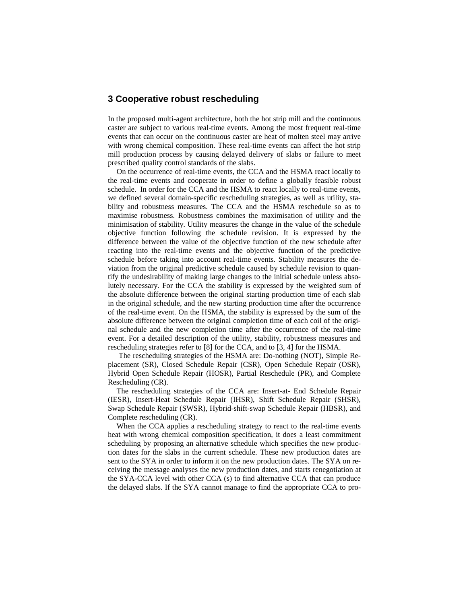# **3 Cooperative robust rescheduling**

In the proposed multi-agent architecture, both the hot strip mill and the continuous caster are subject to various real-time events. Among the most frequent real-time events that can occur on the continuous caster are heat of molten steel may arrive with wrong chemical composition. These real-time events can affect the hot strip mill production process by causing delayed delivery of slabs or failure to meet prescribed quality control standards of the slabs.

On the occurrence of real-time events, the CCA and the HSMA react locally to the real-time events and cooperate in order to define a globally feasible robust schedule. In order for the CCA and the HSMA to react locally to real-time events, we defined several domain-specific rescheduling strategies, as well as utility, stability and robustness measures. The CCA and the HSMA reschedule so as to maximise robustness. Robustness combines the maximisation of utility and the minimisation of stability. Utility measures the change in the value of the schedule objective function following the schedule revision. It is expressed by the difference between the value of the objective function of the new schedule after reacting into the real-time events and the objective function of the predictive schedule before taking into account real-time events. Stability measures the deviation from the original predictive schedule caused by schedule revision to quantify the undesirability of making large changes to the initial schedule unless absolutely necessary. For the CCA the stability is expressed by the weighted sum of the absolute difference between the original starting production time of each slab in the original schedule, and the new starting production time after the occurrence of the real-time event. On the HSMA, the stability is expressed by the sum of the absolute difference between the original completion time of each coil of the original schedule and the new completion time after the occurrence of the real-time event. For a detailed description of the utility, stability, robustness measures and rescheduling strategies refer to [8] for the CCA, and to [3, 4] for the HSMA.

The rescheduling strategies of the HSMA are: Do-nothing (NOT), Simple Replacement (SR), Closed Schedule Repair (CSR), Open Schedule Repair (OSR), Hybrid Open Schedule Repair (HOSR), Partial Reschedule (PR), and Complete Rescheduling (CR).

The rescheduling strategies of the CCA are: Insert-at- End Schedule Repair (IESR), Insert-Heat Schedule Repair (IHSR), Shift Schedule Repair (SHSR), Swap Schedule Repair (SWSR), Hybrid-shift-swap Schedule Repair (HBSR), and Complete rescheduling (CR).

When the CCA applies a rescheduling strategy to react to the real-time events heat with wrong chemical composition specification, it does a least commitment scheduling by proposing an alternative schedule which specifies the new production dates for the slabs in the current schedule. These new production dates are sent to the SYA in order to inform it on the new production dates. The SYA on receiving the message analyses the new production dates, and starts renegotiation at the SYA-CCA level with other CCA (s) to find alternative CCA that can produce the delayed slabs. If the SYA cannot manage to find the appropriate CCA to pro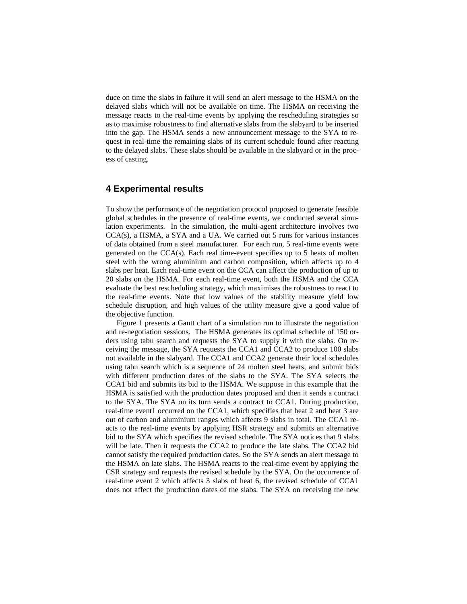duce on time the slabs in failure it will send an alert message to the HSMA on the delayed slabs which will not be available on time. The HSMA on receiving the message reacts to the real-time events by applying the rescheduling strategies so as to maximise robustness to find alternative slabs from the slabyard to be inserted into the gap. The HSMA sends a new announcement message to the SYA to request in real-time the remaining slabs of its current schedule found after reacting to the delayed slabs. These slabs should be available in the slabyard or in the process of casting.

### **4 Experimental results**

To show the performance of the negotiation protocol proposed to generate feasible global schedules in the presence of real-time events, we conducted several simulation experiments. In the simulation, the multi-agent architecture involves two  $CCA(s)$ , a HSMA, a SYA and a UA. We carried out 5 runs for various instances of data obtained from a steel manufacturer. For each run, 5 real-time events were generated on the  $CCA(s)$ . Each real time-event specifies up to 5 heats of molten steel with the wrong aluminium and carbon composition, which affects up to 4 slabs per heat. Each real-time event on the CCA can affect the production of up to 20 slabs on the HSMA. For each real-time event, both the HSMA and the CCA evaluate the best rescheduling strategy, which maximises the robustness to react to the real-time events. Note that low values of the stability measure yield low schedule disruption, and high values of the utility measure give a good value of the objective function.

Figure 1 presents a Gantt chart of a simulation run to illustrate the negotiation and re-negotiation sessions. The HSMA generates its optimal schedule of 150 orders using tabu search and requests the SYA to supply it with the slabs. On receiving the message, the SYA requests the CCA1 and CCA2 to produce 100 slabs not available in the slabyard. The CCA1 and CCA2 generate their local schedules using tabu search which is a sequence of 24 molten steel heats, and submit bids with different production dates of the slabs to the SYA. The SYA selects the CCA1 bid and submits its bid to the HSMA. We suppose in this example that the HSMA is satisfied with the production dates proposed and then it sends a contract to the SYA. The SYA on its turn sends a contract to CCA1. During production, real-time event1 occurred on the CCA1, which specifies that heat 2 and heat 3 are out of carbon and aluminium ranges which affects 9 slabs in total. The CCA1 reacts to the real-time events by applying HSR strategy and submits an alternative bid to the SYA which specifies the revised schedule. The SYA notices that 9 slabs will be late. Then it requests the CCA2 to produce the late slabs. The CCA2 bid cannot satisfy the required production dates. So the SYA sends an alert message to the HSMA on late slabs. The HSMA reacts to the real-time event by applying the CSR strategy and requests the revised schedule by the SYA. On the occurrence of real-time event 2 which affects 3 slabs of heat 6, the revised schedule of CCA1 does not affect the production dates of the slabs. The SYA on receiving the new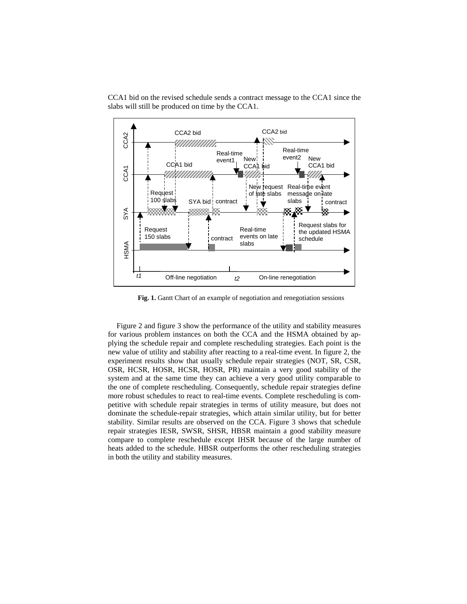

CCA1 bid on the revised schedule sends a contract message to the CCA1 since the slabs will still be produced on time by the CCA1.

**Fig. 1.** Gantt Chart of an example of negotiation and renegotiation sessions

Figure 2 and figure 3 show the performance of the utility and stability measures for various problem instances on both the CCA and the HSMA obtained by applying the schedule repair and complete rescheduling strategies. Each point is the new value of utility and stability after reacting to a real-time event. In figure 2, the experiment results show that usually schedule repair strategies (NOT, SR, CSR, OSR, HCSR, HOSR, HCSR, HOSR, PR) maintain a very good stability of the system and at the same time they can achieve a very good utility comparable to the one of complete rescheduling. Consequently, schedule repair strategies define more robust schedules to react to real-time events. Complete rescheduling is competitive with schedule repair strategies in terms of utility measure, but does not dominate the schedule-repair strategies, which attain similar utility, but for better stability. Similar results are observed on the CCA. Figure 3 shows that schedule repair strategies IESR, SWSR, SHSR, HBSR maintain a good stability measure compare to complete reschedule except IHSR because of the large number of heats added to the schedule. HBSR outperforms the other rescheduling strategies in both the utility and stability measures.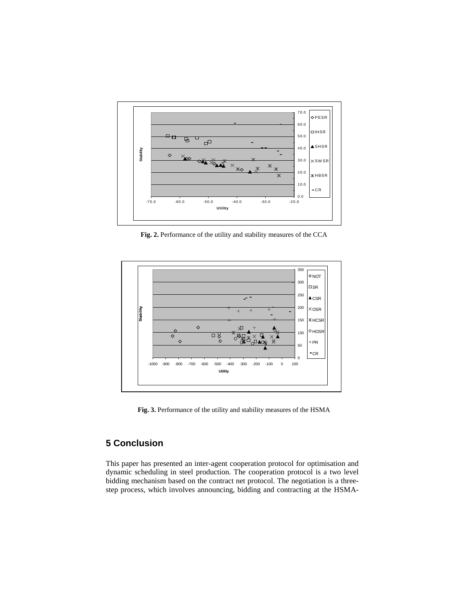

**Fig. 2.** Performance of the utility and stability measures of the CCA



**Fig. 3.** Performance of the utility and stability measures of the HSMA

# **5 Conclusion**

This paper has presented an inter-agent cooperation protocol for optimisation and dynamic scheduling in steel production. The cooperation protocol is a two level bidding mechanism based on the contract net protocol. The negotiation is a threestep process, which involves announcing, bidding and contracting at the HSMA-